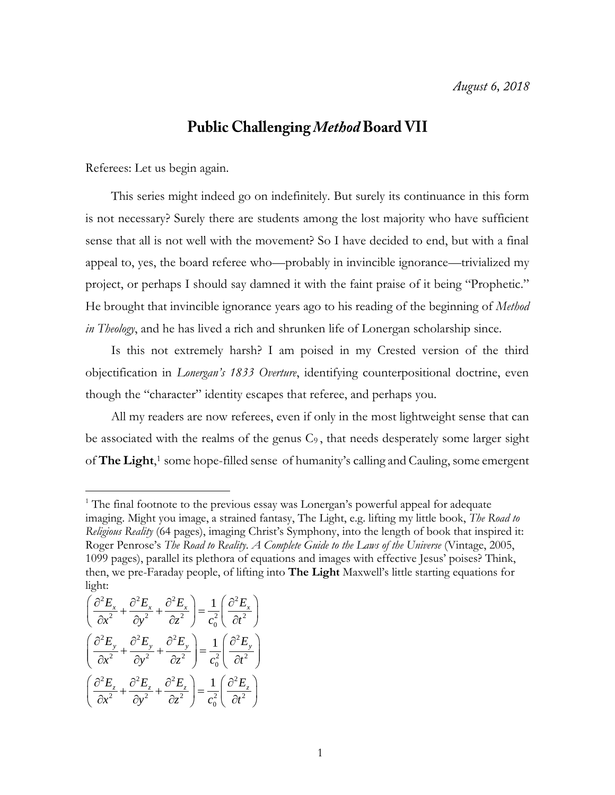## **Public Challenging Method Board VII**

Referees: Let us begin again.

This series might indeed go on indefinitely. But surely its continuance in this form is not necessary? Surely there are students among the lost majority who have sufficient sense that all is not well with the movement? So I have decided to end, but with a final appeal to, yes, the board referee who—probably in invincible ignorance—trivialized my project, or perhaps I should say damned it with the faint praise of it being "Prophetic." He brought that invincible ignorance years ago to his reading of the beginning of *Method in Theology*, and he has lived a rich and shrunken life of Lonergan scholarship since.

Is this not extremely harsh? I am poised in my Crested version of the third objectification in *Lonergan's 1833 Overture*, identifying counterpositional doctrine, even though the "character" identity escapes that referee, and perhaps you.

All my readers are now referees, even if only in the most lightweight sense that can be associated with the realms of the genus C<sup>9</sup> , that needs desperately some larger sight of **The Light**, <sup>1</sup> some hope-filled sense of humanity's calling and Cauling, some emergent

light:  
\n
$$
\left(\frac{\partial^2 E_x}{\partial x^2} + \frac{\partial^2 E_x}{\partial y^2} + \frac{\partial^2 E_x}{\partial z^2}\right) = \frac{1}{c_0^2} \left(\frac{\partial^2 E_x}{\partial t^2}\right)
$$
\n
$$
\left(\frac{\partial^2 E_y}{\partial x^2} + \frac{\partial^2 E_y}{\partial y^2} + \frac{\partial^2 E_y}{\partial z^2}\right) = \frac{1}{c_0^2} \left(\frac{\partial^2 E_y}{\partial t^2}\right)
$$
\n
$$
\left(\frac{\partial^2 E_z}{\partial x^2} + \frac{\partial^2 E_z}{\partial y^2} + \frac{\partial^2 E_z}{\partial z^2}\right) = \frac{1}{c_0^2} \left(\frac{\partial^2 E_z}{\partial t^2}\right)
$$

 $1$ <sup>1</sup> The final footnote to the previous essay was Lonergan's powerful appeal for adequate imaging. Might you image, a strained fantasy, The Light, e.g. lifting my little book, *The Road to Religious Reality* (64 pages), imaging Christ's Symphony, into the length of book that inspired it: Roger Penrose's *The Road to Reality*. *A Complete Guide to the Laws of the Universe* (Vintage, 2005, 1099 pages), parallel its plethora of equations and images with effective Jesus' poises? Think, then, we pre-Faraday people, of lifting into **The Light** Maxwell's little starting equations for light: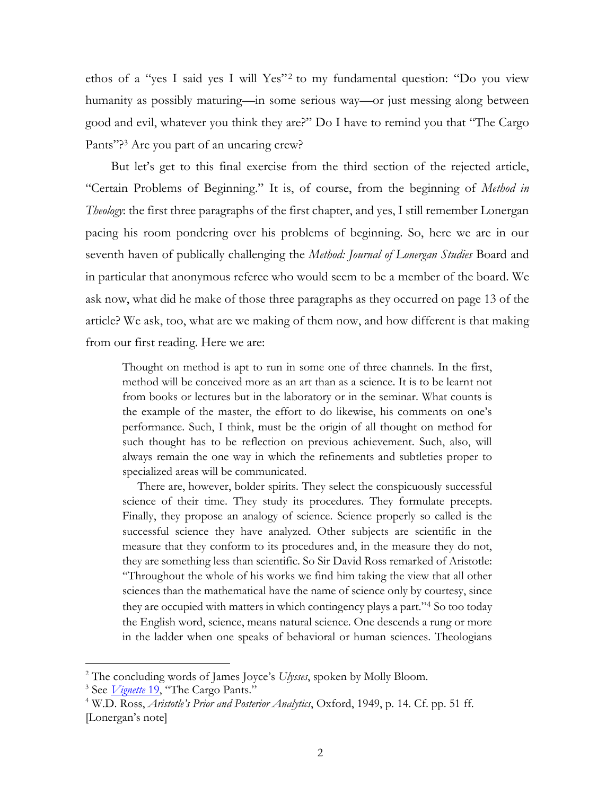ethos of a "yes I said yes I will Yes"<sup>2</sup> to my fundamental question: "Do you view humanity as possibly maturing—in some serious way—or just messing along between good and evil, whatever you think they are?" Do I have to remind you that "The Cargo Pants"?<sup>3</sup> Are you part of an uncaring crew?

But let's get to this final exercise from the third section of the rejected article, "Certain Problems of Beginning." It is, of course, from the beginning of *Method in Theology*: the first three paragraphs of the first chapter, and yes, I still remember Lonergan pacing his room pondering over his problems of beginning. So, here we are in our seventh haven of publically challenging the *Method: Journal of Lonergan Studies* Board and in particular that anonymous referee who would seem to be a member of the board. We ask now, what did he make of those three paragraphs as they occurred on page 13 of the article? We ask, too, what are we making of them now, and how different is that making from our first reading. Here we are:

Thought on method is apt to run in some one of three channels. In the first, method will be conceived more as an art than as a science. It is to be learnt not from books or lectures but in the laboratory or in the seminar. What counts is the example of the master, the effort to do likewise, his comments on one's performance. Such, I think, must be the origin of all thought on method for such thought has to be reflection on previous achievement. Such, also, will always remain the one way in which the refinements and subtleties proper to specialized areas will be communicated.

 There are, however, bolder spirits. They select the conspicuously successful science of their time. They study its procedures. They formulate precepts. Finally, they propose an analogy of science. Science properly so called is the successful science they have analyzed. Other subjects are scientific in the measure that they conform to its procedures and, in the measure they do not, they are something less than scientific. So Sir David Ross remarked of Aristotle: "Throughout the whole of his works we find him taking the view that all other sciences than the mathematical have the name of science only by courtesy, since they are occupied with matters in which contingency plays a part."<sup>4</sup> So too today the English word, science, means natural science. One descends a rung or more in the ladder when one speaks of behavioral or human sciences. Theologians

<sup>2</sup> The concluding words of James Joyce's *Ulysses*, spoken by Molly Bloom.

<sup>&</sup>lt;sup>3</sup> See *[Vignette](http://www.philipmcshane.org/wp-content/themes/philip/online_publications/series/vignettes/Vignette%2019.pdf)* 19, "The Cargo Pants."

<sup>4</sup> W.D. Ross, *Aristotle's Prior and Posterior Analytics*, Oxford, 1949, p. 14. Cf. pp. 51 ff. [Lonergan's note]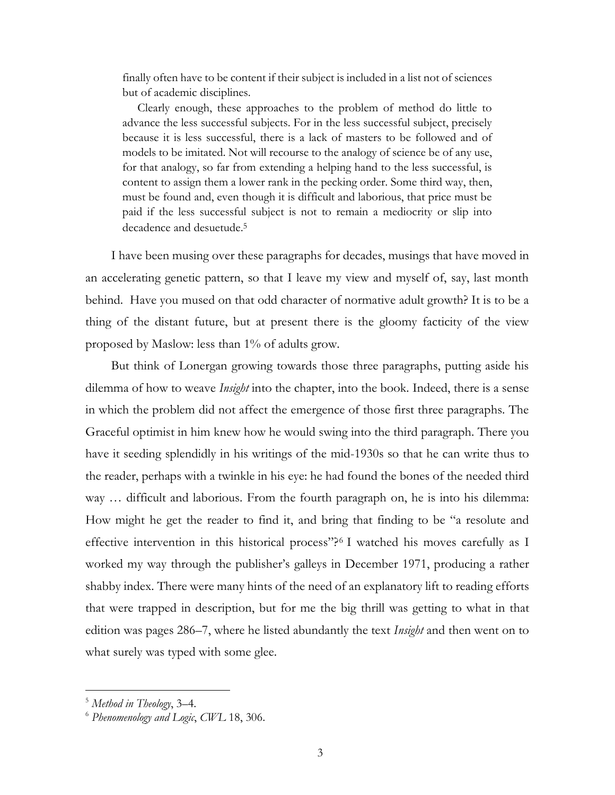finally often have to be content if their subject is included in a list not of sciences but of academic disciplines.

 Clearly enough, these approaches to the problem of method do little to advance the less successful subjects. For in the less successful subject, precisely because it is less successful, there is a lack of masters to be followed and of models to be imitated. Not will recourse to the analogy of science be of any use, for that analogy, so far from extending a helping hand to the less successful, is content to assign them a lower rank in the pecking order. Some third way, then, must be found and, even though it is difficult and laborious, that price must be paid if the less successful subject is not to remain a mediocrity or slip into decadence and desuetude.<sup>5</sup>

I have been musing over these paragraphs for decades, musings that have moved in an accelerating genetic pattern, so that I leave my view and myself of, say, last month behind. Have you mused on that odd character of normative adult growth? It is to be a thing of the distant future, but at present there is the gloomy facticity of the view proposed by Maslow: less than 1% of adults grow.

But think of Lonergan growing towards those three paragraphs, putting aside his dilemma of how to weave *Insight* into the chapter, into the book. Indeed, there is a sense in which the problem did not affect the emergence of those first three paragraphs. The Graceful optimist in him knew how he would swing into the third paragraph. There you have it seeding splendidly in his writings of the mid-1930s so that he can write thus to the reader, perhaps with a twinkle in his eye: he had found the bones of the needed third way ... difficult and laborious. From the fourth paragraph on, he is into his dilemma: How might he get the reader to find it, and bring that finding to be "a resolute and effective intervention in this historical process"? <sup>6</sup> I watched his moves carefully as I worked my way through the publisher's galleys in December 1971, producing a rather shabby index. There were many hints of the need of an explanatory lift to reading efforts that were trapped in description, but for me the big thrill was getting to what in that edition was pages 286–7, where he listed abundantly the text *Insight* and then went on to what surely was typed with some glee.

<sup>5</sup> *Method in Theology*, 3–4.

<sup>6</sup> *Phenomenology and Logic*, *CWL* 18, 306.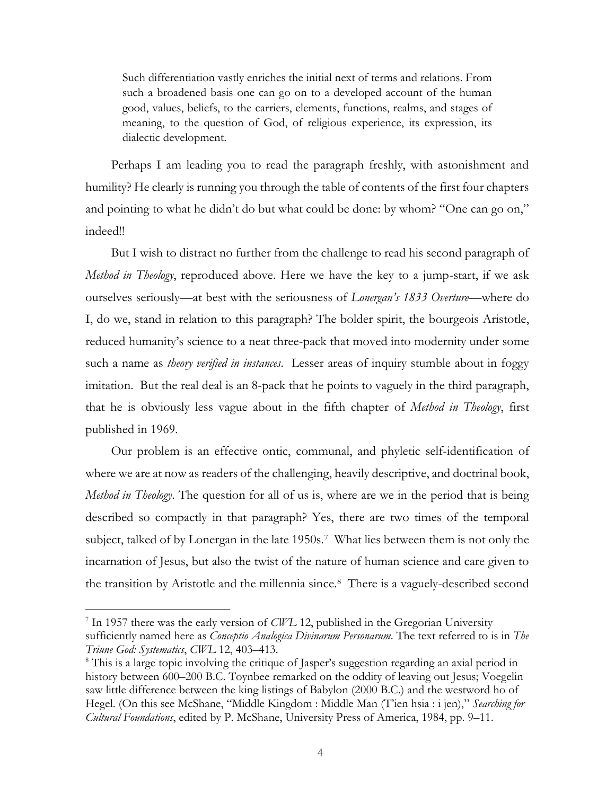Such differentiation vastly enriches the initial next of terms and relations. From such a broadened basis one can go on to a developed account of the human good, values, beliefs, to the carriers, elements, functions, realms, and stages of meaning, to the question of God, of religious experience, its expression, its dialectic development.

Perhaps I am leading you to read the paragraph freshly, with astonishment and humility? He clearly is running you through the table of contents of the first four chapters and pointing to what he didn't do but what could be done: by whom? "One can go on," indeed!!

But I wish to distract no further from the challenge to read his second paragraph of *Method in Theology*, reproduced above. Here we have the key to a jump-start, if we ask ourselves seriously—at best with the seriousness of *Lonergan's 1833 Overture*—where do I, do we, stand in relation to this paragraph? The bolder spirit, the bourgeois Aristotle, reduced humanity's science to a neat three-pack that moved into modernity under some such a name as *theory verified in instances*. Lesser areas of inquiry stumble about in foggy imitation. But the real deal is an 8-pack that he points to vaguely in the third paragraph, that he is obviously less vague about in the fifth chapter of *Method in Theology*, first published in 1969.

Our problem is an effective ontic, communal, and phyletic self-identification of where we are at now as readers of the challenging, heavily descriptive, and doctrinal book, *Method in Theology*. The question for all of us is, where are we in the period that is being described so compactly in that paragraph? Yes, there are two times of the temporal subject, talked of by Lonergan in the late 1950s.<sup>7</sup> What lies between them is not only the incarnation of Jesus, but also the twist of the nature of human science and care given to the transition by Aristotle and the millennia since.<sup>8</sup> There is a vaguely-described second

<sup>7</sup> In 1957 there was the early version of *CWL* 12, published in the Gregorian University sufficiently named here as *Conceptio Analogica Divinarum Personarum*. The text referred to is in *The Triune God: Systematics*, *CWL* 12, 403–413.

<sup>&</sup>lt;sup>8</sup> This is a large topic involving the critique of Jasper's suggestion regarding an axial period in history between 600–200 B.C. Toynbee remarked on the oddity of leaving out Jesus; Voegelin saw little difference between the king listings of Babylon (2000 B.C.) and the westword ho of Hegel. (On this see McShane, "Middle Kingdom : Middle Man (T'ien hsia : i jen)," *Searching for Cultural Foundations*, edited by P. McShane, University Press of America, 1984, pp. 9–11.